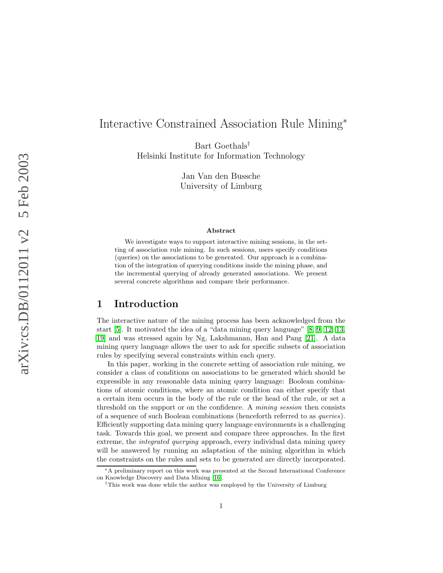# Interactive Constrained Association Rule Mining<sup>∗</sup>

Bart Goethals† Helsinki Institute for Information Technology

> Jan Van den Bussche University of Limburg

#### Abstract

We investigate ways to support interactive mining sessions, in the setting of association rule mining. In such sessions, users specify conditions (queries) on the associations to be generated. Our approach is a combination of the integration of querying conditions inside the mining phase, and the incremental querying of already generated associations. We present several concrete algorithms and compare their performance.

# 1 Introduction

The interactive nature of the mining process has been acknowledged from the start [\[5\]](#page-18-0). It motivated the idea of a "data mining query language" [\[8,](#page-19-0) [9,](#page-19-1) [12,](#page-19-2) [13,](#page-19-3) [19\]](#page-20-0) and was stressed again by Ng, Lakshmanan, Han and Pang [\[21\]](#page-20-1). A data mining query language allows the user to ask for specific subsets of association rules by specifying several constraints within each query.

In this paper, working in the concrete setting of association rule mining, we consider a class of conditions on associations to be generated which should be expressible in any reasonable data mining query language: Boolean combinations of atomic conditions, where an atomic condition can either specify that a certain item occurs in the body of the rule or the head of the rule, or set a threshold on the support or on the confidence. A mining session then consists of a sequence of such Boolean combinations (henceforth referred to as queries). Efficiently supporting data mining query language environments is a challenging task. Towards this goal, we present and compare three approaches. In the first extreme, the *integrated querying* approach, every individual data mining query will be answered by running an adaptation of the mining algorithm in which the constraints on the rules and sets to be generated are directly incorporated.

<sup>∗</sup>A preliminary report on this work was presented at the Second International Conference on Knowledge Discovery and Data Mining [\[16\]](#page-19-4).

<sup>†</sup>This work was done while the author was employed by the University of Limburg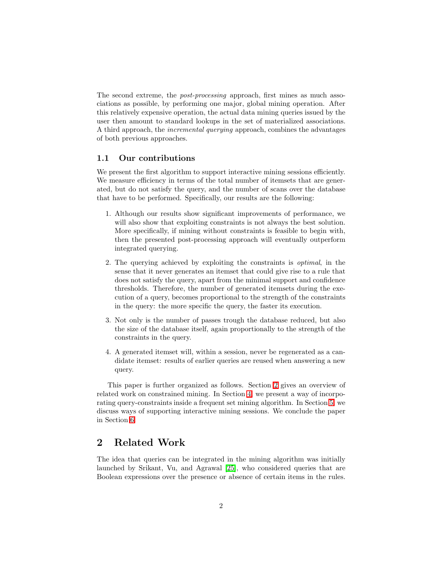The second extreme, the *post-processing* approach, first mines as much associations as possible, by performing one major, global mining operation. After this relatively expensive operation, the actual data mining queries issued by the user then amount to standard lookups in the set of materialized associations. A third approach, the *incremental querying* approach, combines the advantages of both previous approaches.

#### 1.1 Our contributions

We present the first algorithm to support interactive mining sessions efficiently. We measure efficiency in terms of the total number of itemsets that are generated, but do not satisfy the query, and the number of scans over the database that have to be performed. Specifically, our results are the following:

- 1. Although our results show significant improvements of performance, we will also show that exploiting constraints is not always the best solution. More specifically, if mining without constraints is feasible to begin with, then the presented post-processing approach will eventually outperform integrated querying.
- 2. The querying achieved by exploiting the constraints is optimal, in the sense that it never generates an itemset that could give rise to a rule that does not satisfy the query, apart from the minimal support and confidence thresholds. Therefore, the number of generated itemsets during the execution of a query, becomes proportional to the strength of the constraints in the query: the more specific the query, the faster its execution.
- 3. Not only is the number of passes trough the database reduced, but also the size of the database itself, again proportionally to the strength of the constraints in the query.
- 4. A generated itemset will, within a session, never be regenerated as a candidate itemset: results of earlier queries are reused when answering a new query.

This paper is further organized as follows. Section [2](#page-1-0) gives an overview of related work on constrained mining. In Section [4,](#page-4-0) we present a way of incorporating query-constraints inside a frequent set mining algorithm. In Section [5,](#page-11-0) we discuss ways of supporting interactive mining sessions. We conclude the paper in Section [6.](#page-15-0)

# <span id="page-1-0"></span>2 Related Work

The idea that queries can be integrated in the mining algorithm was initially launched by Srikant, Vu, and Agrawal [\[25\]](#page-20-2), who considered queries that are Boolean expressions over the presence or absence of certain items in the rules.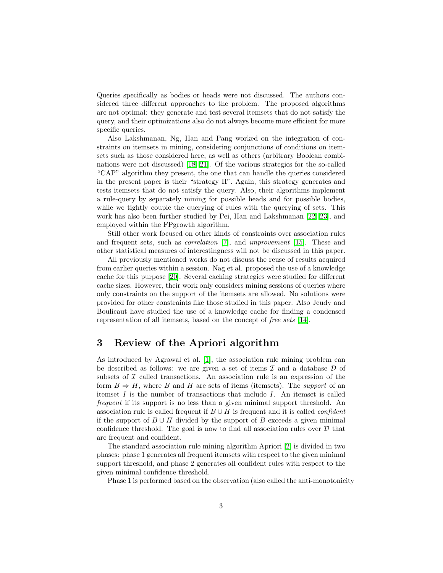Queries specifically as bodies or heads were not discussed. The authors considered three different approaches to the problem. The proposed algorithms are not optimal: they generate and test several itemsets that do not satisfy the query, and their optimizations also do not always become more efficient for more specific queries.

Also Lakshmanan, Ng, Han and Pang worked on the integration of constraints on itemsets in mining, considering conjunctions of conditions on itemsets such as those considered here, as well as others (arbitrary Boolean combinations were not discussed) [\[18,](#page-20-3) [21\]](#page-20-1). Of the various strategies for the so-called "CAP" algorithm they present, the one that can handle the queries considered in the present paper is their "strategy II". Again, this strategy generates and tests itemsets that do not satisfy the query. Also, their algorithms implement a rule-query by separately mining for possible heads and for possible bodies, while we tightly couple the querying of rules with the querying of sets. This work has also been further studied by Pei, Han and Lakshmanan [\[22,](#page-20-4) [23\]](#page-20-5), and employed within the FPgrowth algorithm.

Still other work focused on other kinds of constraints over association rules and frequent sets, such as correlation [\[7\]](#page-19-5), and improvement [\[15\]](#page-19-6). These and other statistical measures of interestingness will not be discussed in this paper.

All previously mentioned works do not discuss the reuse of results acquired from earlier queries within a session. Nag et al. proposed the use of a knowledge cache for this purpose [\[20\]](#page-20-6). Several caching strategies were studied for different cache sizes. However, their work only considers mining sessions of queries where only constraints on the support of the itemsets are allowed. No solutions were provided for other constraints like those studied in this paper. Also Jeudy and Boulicaut have studied the use of a knowledge cache for finding a condensed representation of all itemsets, based on the concept of free sets [\[14\]](#page-19-7).

# 3 Review of the Apriori algorithm

As introduced by Agrawal et al. [\[1\]](#page-18-1), the association rule mining problem can be described as follows: we are given a set of items  $\mathcal I$  and a database  $\mathcal D$  of subsets of  $\mathcal I$  called transactions. An association rule is an expression of the form  $B \Rightarrow H$ , where B and H are sets of items (itemsets). The *support* of an itemset  $I$  is the number of transactions that include  $I$ . An itemset is called frequent if its support is no less than a given minimal support threshold. An association rule is called frequent if  $B \cup H$  is frequent and it is called *confident* if the support of  $B \cup H$  divided by the support of B exceeds a given minimal confidence threshold. The goal is now to find all association rules over  $\mathcal D$  that are frequent and confident.

The standard association rule mining algorithm Apriori [\[2\]](#page-18-2) is divided in two phases: phase 1 generates all frequent itemsets with respect to the given minimal support threshold, and phase 2 generates all confident rules with respect to the given minimal confidence threshold.

Phase 1 is performed based on the observation (also called the anti-monotonicity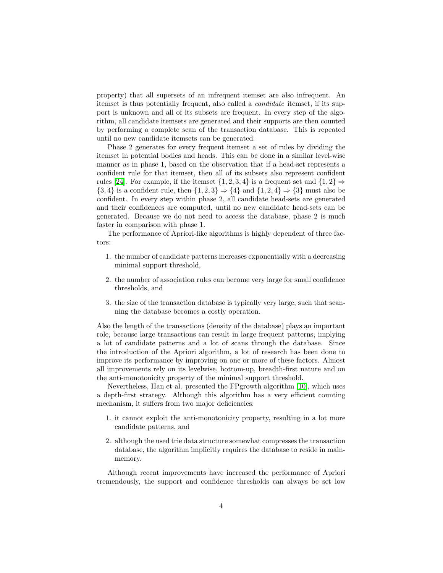property) that all supersets of an infrequent itemset are also infrequent. An itemset is thus potentially frequent, also called a candidate itemset, if its support is unknown and all of its subsets are frequent. In every step of the algorithm, all candidate itemsets are generated and their supports are then counted by performing a complete scan of the transaction database. This is repeated until no new candidate itemsets can be generated.

Phase 2 generates for every frequent itemset a set of rules by dividing the itemset in potential bodies and heads. This can be done in a similar level-wise manner as in phase 1, based on the observation that if a head-set represents a confident rule for that itemset, then all of its subsets also represent confident rules [\[24\]](#page-20-7). For example, if the itemset  $\{1, 2, 3, 4\}$  is a frequent set and  $\{1, 2\} \Rightarrow$  ${3, 4}$  is a confident rule, then  ${1, 2, 3} \Rightarrow {4}$  and  ${1, 2, 4} \Rightarrow {3}$  must also be confident. In every step within phase 2, all candidate head-sets are generated and their confidences are computed, until no new candidate head-sets can be generated. Because we do not need to access the database, phase 2 is much faster in comparison with phase 1.

The performance of Apriori-like algorithms is highly dependent of three factors:

- 1. the number of candidate patterns increases exponentially with a decreasing minimal support threshold,
- 2. the number of association rules can become very large for small confidence thresholds, and
- 3. the size of the transaction database is typically very large, such that scanning the database becomes a costly operation.

Also the length of the transactions (density of the database) plays an important role, because large transactions can result in large frequent patterns, implying a lot of candidate patterns and a lot of scans through the database. Since the introduction of the Apriori algorithm, a lot of research has been done to improve its performance by improving on one or more of these factors. Almost all improvements rely on its levelwise, bottom-up, breadth-first nature and on the anti-monotonicity property of the minimal support threshold.

Nevertheless, Han et al. presented the FPgrowth algorithm [\[10\]](#page-19-8), which uses a depth-first strategy. Although this algorithm has a very efficient counting mechanism, it suffers from two major deficiencies:

- 1. it cannot exploit the anti-monotonicity property, resulting in a lot more candidate patterns, and
- 2. although the used trie data structure somewhat compresses the transaction database, the algorithm implicitly requires the database to reside in mainmemory.

Although recent improvements have increased the performance of Apriori tremendously, the support and confidence thresholds can always be set low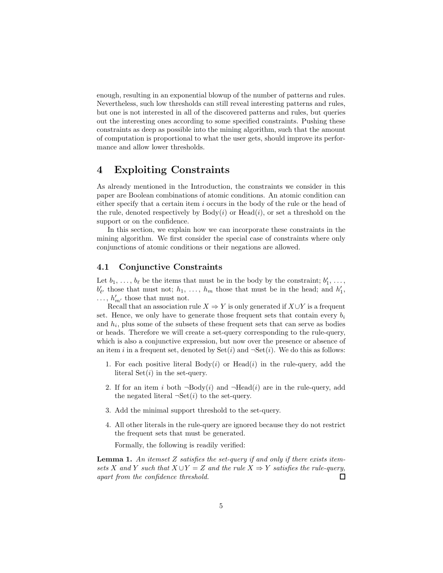enough, resulting in an exponential blowup of the number of patterns and rules. Nevertheless, such low thresholds can still reveal interesting patterns and rules, but one is not interested in all of the discovered patterns and rules, but queries out the interesting ones according to some specified constraints. Pushing these constraints as deep as possible into the mining algorithm, such that the amount of computation is proportional to what the user gets, should improve its performance and allow lower thresholds.

# <span id="page-4-0"></span>4 Exploiting Constraints

As already mentioned in the Introduction, the constraints we consider in this paper are Boolean combinations of atomic conditions. An atomic condition can either specify that a certain item i occurs in the body of the rule or the head of the rule, denoted respectively by  $Body(i)$  or  $Head(i)$ , or set a threshold on the support or on the confidence.

In this section, we explain how we can incorporate these constraints in the mining algorithm. We first consider the special case of constraints where only conjunctions of atomic conditions or their negations are allowed.

#### <span id="page-4-2"></span>4.1 Conjunctive Constraints

Let  $b_1, \ldots, b_\ell$  be the items that must be in the body by the constraint;  $b'_1, \ldots, b_\ell$  $b'_{\ell'}$  those that must not;  $h_1, \ldots, h_m$  those that must be in the head; and  $h'_1$ ,  $\ldots$ ,  $h'_{m'}$  those that must not.

Recall that an association rule  $X \Rightarrow Y$  is only generated if  $X \cup Y$  is a frequent set. Hence, we only have to generate those frequent sets that contain every  $b_i$ and  $h_i$ , plus some of the subsets of these frequent sets that can serve as bodies or heads. Therefore we will create a set-query corresponding to the rule-query, which is also a conjunctive expression, but now over the presence or absence of an item i in a frequent set, denoted by  $Set(i)$  and  $\neg Set(i)$ . We do this as follows:

- 1. For each positive literal  $Body(i)$  or  $Head(i)$  in the rule-query, add the literal  $Set(i)$  in the set-query.
- 2. If for an item i both  $\neg$ Body(i) and  $\neg$ Head(i) are in the rule-query, add the negated literal  $\neg$ Set $(i)$  to the set-query.
- 3. Add the minimal support threshold to the set-query.
- 4. All other literals in the rule-query are ignored because they do not restrict the frequent sets that must be generated.

Formally, the following is readily verified:

<span id="page-4-1"></span>**Lemma 1.** An itemset Z satisfies the set-query if and only if there exists itemsets X and Y such that  $X \cup Y = Z$  and the rule  $X \Rightarrow Y$  satisfies the rule-query, apart from the confidence threshold.  $\Box$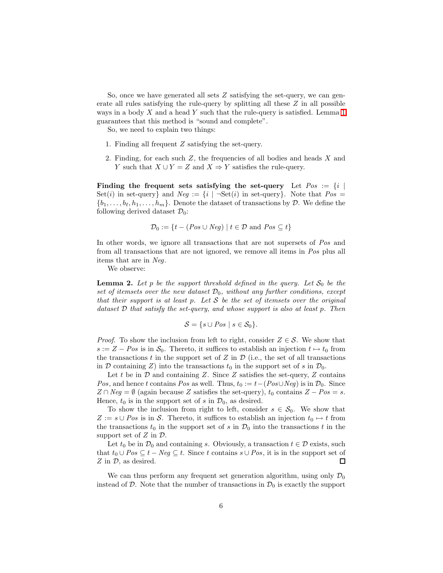So, once we have generated all sets  $Z$  satisfying the set-query, we can generate all rules satisfying the rule-query by splitting all these Z in all possible ways in a body  $X$  and a head  $Y$  such that the rule-query is satisfied. Lemma [1](#page-4-1) guarantees that this method is "sound and complete".

So, we need to explain two things:

- 1. Finding all frequent Z satisfying the set-query.
- 2. Finding, for each such  $Z$ , the frequencies of all bodies and heads  $X$  and Y such that  $X \cup Y = Z$  and  $X \Rightarrow Y$  satisfies the rule-query.

Finding the frequent sets satisfying the set-query Let  $Pos := \{i \mid$ Set(i) in set-query} and  $Neg := \{i \mid \neg Set(i) \text{ in set-query}\}\.$  Note that  $Pos =$  $\{b_1, \ldots, b_\ell, h_1, \ldots, h_m\}$ . Denote the dataset of transactions by D. We define the following derived dataset  $\mathcal{D}_0$ :

$$
\mathcal{D}_0 := \{ t - (Pos \cup Neg) \mid t \in \mathcal{D} \text{ and } Pos \subseteq t \}
$$

In other words, we ignore all transactions that are not supersets of Pos and from all transactions that are not ignored, we remove all items in Pos plus all items that are in Neg.

We observe:

<span id="page-5-0"></span>**Lemma 2.** Let p be the support threshold defined in the query. Let  $S_0$  be the set of itemsets over the new dataset  $\mathcal{D}_0$ , without any further conditions, except that their support is at least p. Let  $S$  be the set of itemsets over the original dataset  $D$  that satisfy the set-query, and whose support is also at least  $p$ . Then

$$
\mathcal{S} = \{ s \cup Pos \mid s \in \mathcal{S}_0 \}.
$$

*Proof.* To show the inclusion from left to right, consider  $Z \in \mathcal{S}$ . We show that  $s := Z - Pos$  is in  $\mathcal{S}_0$ . Thereto, it suffices to establish an injection  $t \mapsto t_0$  from the transactions  $t$  in the support set of  $Z$  in  $D$  (i.e., the set of all transactions in D containing Z) into the transactions  $t_0$  in the support set of s in  $\mathcal{D}_0$ .

Let t be in  $\mathcal D$  and containing Z. Since Z satisfies the set-query, Z contains Pos, and hence t contains Pos as well. Thus,  $t_0 := t-(Pos\cup Neg)$  is in  $\mathcal{D}_0$ . Since  $Z \cap Neg = \emptyset$  (again because Z satisfies the set-query),  $t_0$  contains  $Z - Pos = s$ . Hence,  $t_0$  is in the support set of s in  $\mathcal{D}_0$ , as desired.

To show the inclusion from right to left, consider  $s \in \mathcal{S}_0$ . We show that  $Z := s \cup Pos$  is in S. Thereto, it suffices to establish an injection  $t_0 \mapsto t$  from the transactions  $t_0$  in the support set of s in  $\mathcal{D}_0$  into the transactions t in the support set of  $Z$  in  $\mathcal{D}$ .

Let  $t_0$  be in  $\mathcal{D}_0$  and containing s. Obviously, a transaction  $t \in \mathcal{D}$  exists, such that  $t_0 \cup Pos \subseteq t - Neg \subseteq t$ . Since t contains  $s \cup Pos$ , it is in the support set of  $Z$  in  $D$ , as desired. □

We can thus perform any frequent set generation algorithm, using only  $\mathcal{D}_0$ instead of  $D$ . Note that the number of transactions in  $\mathcal{D}_0$  is exactly the support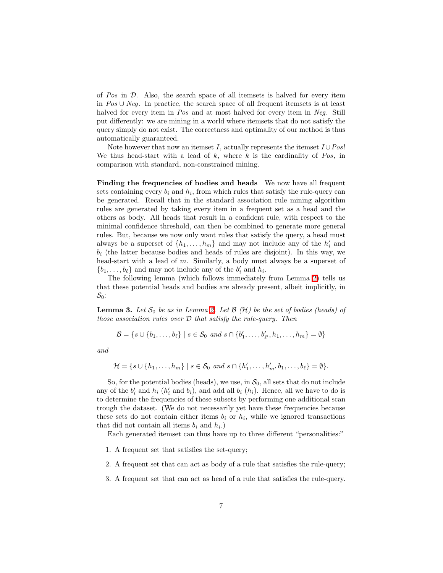of  $Pos$  in  $D$ . Also, the search space of all itemsets is halved for every item in Pos ∪ Neg. In practice, the search space of all frequent itemsets is at least halved for every item in Pos and at most halved for every item in Neg. Still put differently: we are mining in a world where itemsets that do not satisfy the query simply do not exist. The correctness and optimality of our method is thus automatically guaranteed.

Note however that now an itemset I, actually represents the itemset  $I \cup Pos!$ We thus head-start with a lead of  $k$ , where  $k$  is the cardinality of  $Pos$ , in comparison with standard, non-constrained mining.

Finding the frequencies of bodies and heads We now have all frequent sets containing every  $b_i$  and  $h_i$ , from which rules that satisfy the rule-query can be generated. Recall that in the standard association rule mining algorithm rules are generated by taking every item in a frequent set as a head and the others as body. All heads that result in a confident rule, with respect to the minimal confidence threshold, can then be combined to generate more general rules. But, because we now only want rules that satisfy the query, a head must always be a superset of  $\{h_1, \ldots, h_m\}$  and may not include any of the  $h'_i$  and  $b_i$  (the latter because bodies and heads of rules are disjoint). In this way, we head-start with a lead of m. Similarly, a body must always be a superset of  $\{b_1, \ldots, b_\ell\}$  and may not include any of the  $b'_i$  and  $h_i$ .

The following lemma (which follows immediately from Lemma [2\)](#page-5-0) tells us that these potential heads and bodies are already present, albeit implicitly, in  $S_0$ :

**Lemma 3.** Let  $S_0$  be as in Lemma [2.](#page-5-0) Let  $\mathcal{B}(\mathcal{H})$  be the set of bodies (heads) of those association rules over  $D$  that satisfy the rule-query. Then

$$
\mathcal{B} = \{s \cup \{b_1, \ldots, b_\ell\} \mid s \in \mathcal{S}_0 \text{ and } s \cap \{b'_1, \ldots, b'_{\ell'}, h_1, \ldots, h_m\} = \emptyset\}
$$

and

$$
\mathcal{H} = \{s \cup \{h_1, \ldots, h_m\} \mid s \in \mathcal{S}_0 \text{ and } s \cap \{h'_1, \ldots, h'_{m'} b_1, \ldots, b_\ell\} = \emptyset\}.
$$

So, for the potential bodies (heads), we use, in  $S_0$ , all sets that do not include any of the  $b'_i$  and  $h_i$   $(h'_i$  and  $b_i)$ , and add all  $b_i$   $(h_i)$ . Hence, all we have to do is to determine the frequencies of these subsets by performing one additional scan trough the dataset. (We do not necessarily yet have these frequencies because these sets do not contain either items  $b_i$  or  $h_i$ , while we ignored transactions that did not contain all items  $b_i$  and  $h_i$ .)

Each generated itemset can thus have up to three different "personalities:"

- 1. A frequent set that satisfies the set-query;
- 2. A frequent set that can act as body of a rule that satisfies the rule-query;
- 3. A frequent set that can act as head of a rule that satisfies the rule-query.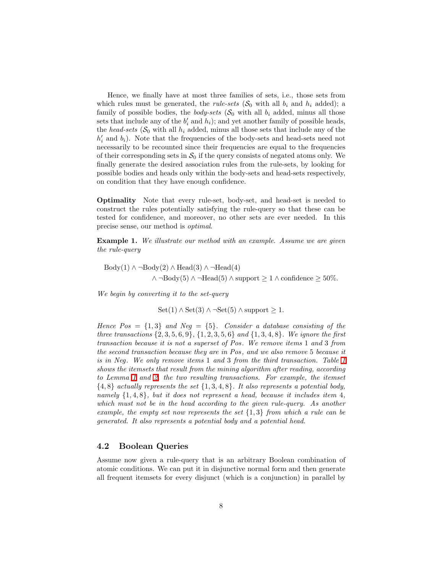Hence, we finally have at most three families of sets, i.e., those sets from which rules must be generated, the *rule-sets*  $(S_0$  with all  $b_i$  and  $h_i$  added); a family of possible bodies, the *body-sets*  $(S_0$  with all  $b_i$  added, minus all those sets that include any of the  $b'_i$  and  $h_i$ ); and yet another family of possible heads, the head-sets ( $S_0$  with all  $h_i$  added, minus all those sets that include any of the  $h'_i$  and  $b_i$ ). Note that the frequencies of the body-sets and head-sets need not necessarily to be recounted since their frequencies are equal to the frequencies of their corresponding sets in  $\mathcal{S}_0$  if the query consists of negated atoms only. We finally generate the desired association rules from the rule-sets, by looking for possible bodies and heads only within the body-sets and head-sets respectively, on condition that they have enough confidence.

Optimality Note that every rule-set, body-set, and head-set is needed to construct the rules potentially satisfying the rule-query so that these can be tested for confidence, and moreover, no other sets are ever needed. In this precise sense, our method is optimal.

Example 1. We illustrate our method with an example. Assume we are given the rule-query

Body(1) ∧ ¬Body(2) ∧ Head(3) ∧ ¬Head(4) ∧ ¬Body(5) ∧ ¬Head(5) ∧ support ≥ 1 ∧ confidence ≥ 50%.

We begin by converting it to the set-query

Set(1)  $\land$  Set(3)  $\land$  ¬Set(5)  $\land$  support ≥ 1.

Hence  $Pos = \{1,3\}$  and  $Neg = \{5\}$ . Consider a database consisting of the three transactions  $\{2, 3, 5, 6, 9\}, \{1, 2, 3, 5, 6\}$  and  $\{1, 3, 4, 8\}$ . We ignore the first transaction because it is not a superset of Pos . We remove items 1 and 3 from the second transaction because they are in Pos , and we also remove 5 because it is in Neg. We only remove items [1](#page-8-0) and 3 from the third transaction. Table 1 shows the itemsets that result from the mining algorithm after reading, according to Lemma [1](#page-4-1) and [2,](#page-5-0) the two resulting transactions. For example, the itemset  ${4, 8}$  actually represents the set  ${1, 3, 4, 8}$ . It also represents a potential body, namely  $\{1, 4, 8\}$ , but it does not represent a head, because it includes item 4, which must not be in the head according to the given rule-query. As another example, the empty set now represents the set  $\{1,3\}$  from which a rule can be generated. It also represents a potential body and a potential head.

#### 4.2 Boolean Queries

Assume now given a rule-query that is an arbitrary Boolean combination of atomic conditions. We can put it in disjunctive normal form and then generate all frequent itemsets for every disjunct (which is a conjunction) in parallel by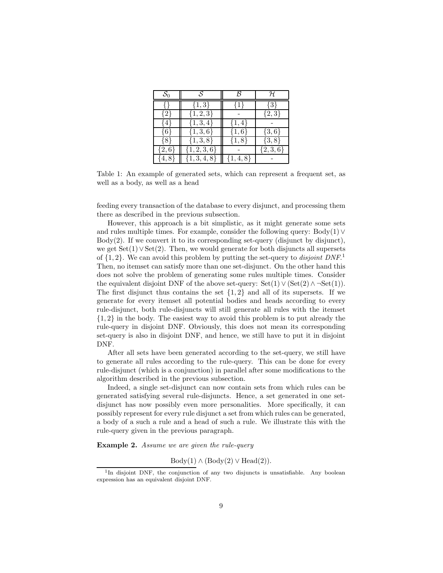| $S_0$      |                  |             |               |
|------------|------------------|-------------|---------------|
|            | $\{1,3\}$        | {1          | $\{3\}$       |
| ∤2         | $\{1, 2, 3\}$    |             | $\{2,3\}$     |
| ₹4         | $\{1, 3, 4\}$    | $\{1,4\}$   |               |
| ł6         | $\{1, 3, 6\}$    | $\{1,6\}$   | $\{3,6\}$     |
| 88         | $\{1,3,8\}$      | $\{1, 8\}$  | $\{3, 8\}$    |
| $\{2,6$    | $\{1, 2, 3, 6\}$ |             | $\{2, 3, 6\}$ |
| $\cdot$ 4, | $\{1, 3, 4, 8\}$ | $\{1, 4, 8$ |               |

<span id="page-8-0"></span>Table 1: An example of generated sets, which can represent a frequent set, as well as a body, as well as a head

feeding every transaction of the database to every disjunct, and processing them there as described in the previous subsection.

However, this approach is a bit simplistic, as it might generate some sets and rules multiple times. For example, consider the following query:  $Body(1) \vee$  $Body(2)$ . If we convert it to its corresponding set-query (disjunct by disjunct), we get  $Set(1) \vee Set(2)$ . Then, we would generate for both disjuncts all supersets of  $\{1, 2\}$ . We can avoid this problem by putting the set-query to *disjoint DNF*.<sup>1</sup> Then, no itemset can satisfy more than one set-disjunct. On the other hand this does not solve the problem of generating some rules multiple times. Consider the equivalent disjoint DNF of the above set-query:  $Set(1) \vee (Set(2) \wedge \neg Set(1)).$ The first disjunct thus contains the set  $\{1,2\}$  and all of its supersets. If we generate for every itemset all potential bodies and heads according to every rule-disjunct, both rule-disjuncts will still generate all rules with the itemset {1, 2} in the body. The easiest way to avoid this problem is to put already the rule-query in disjoint DNF. Obviously, this does not mean its corresponding set-query is also in disjoint DNF, and hence, we still have to put it in disjoint DNF.

After all sets have been generated according to the set-query, we still have to generate all rules according to the rule-query. This can be done for every rule-disjunct (which is a conjunction) in parallel after some modifications to the algorithm described in the previous subsection.

Indeed, a single set-disjunct can now contain sets from which rules can be generated satisfying several rule-disjuncts. Hence, a set generated in one setdisjunct has now possibly even more personalities. More specifically, it can possibly represent for every rule disjunct a set from which rules can be generated, a body of a such a rule and a head of such a rule. We illustrate this with the rule-query given in the previous paragraph.

Example 2. Assume we are given the rule-query

 $Body(1) \wedge (Body(2) \vee Head(2)).$ 

<sup>&</sup>lt;sup>1</sup>In disjoint DNF, the conjunction of any two disjuncts is unsatisfiable. Any boolean expression has an equivalent disjoint DNF.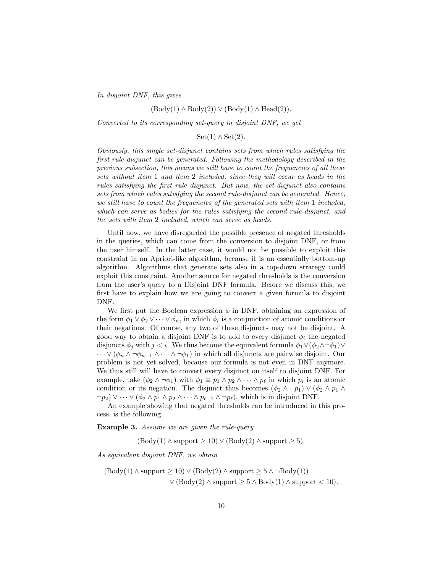In disjoint DNF, this gives

#### $(Body(1) \wedge Body(2)) \vee (Body(1) \wedge Head(2)).$

Converted to its corresponding set-query in disjoint DNF, we get

 $Set(1) \wedge Set(2).$ 

Obviously, this single set-disjunct contains sets from which rules satisfying the first rule-disjunct can be generated. Following the methodology described in the previous subsection, this means we still have to count the frequencies of all these sets without item 1 and item 2 included, since they will occur as heads in the rules satisfying the first rule disjunct. But now, the set-disjunct also contains sets from which rules satisfying the second rule-disjunct can be generated. Hence, we still have to count the frequencies of the generated sets with item 1 included, which can serve as bodies for the rules satisfying the second rule-disjunct, and the sets with item 2 included, which can serve as heads.

Until now, we have disregarded the possible presence of negated thresholds in the queries, which can come from the conversion to disjoint DNF, or from the user himself. In the latter case, it would not be possible to exploit this constraint in an Apriori-like algorithm, because it is an essentially bottom-up algorithm. Algorithms that generate sets also in a top-down strategy could exploit this constraint. Another source for negated thresholds is the conversion from the user's query to a Disjoint DNF formula. Before we discuss this, we first have to explain how we are going to convert a given formula to disjoint DNF.

We first put the Boolean expression  $\phi$  in DNF, obtaining an expression of the form  $\phi_1 \vee \phi_2 \vee \cdots \vee \phi_n$ , in which  $\phi_i$  is a conjunction of atomic conditions or their negations. Of course, any two of these disjuncts may not be disjoint. A good way to obtain a disjoint DNF is to add to every disjunct  $\phi_i$  the negated disjuncts  $\phi_i$  with  $j < i$ . We thus become the equivalent formula  $\phi_1 \vee (\phi_2 \wedge \neg \phi_1) \vee$  $\cdots \vee (\phi_n \wedge \neg \phi_{n-1} \wedge \cdots \wedge \neg \phi_1)$  in which all disjuncts are pairwise disjoint. Our problem is not yet solved, because our formula is not even in DNF anymore. We thus still will have to convert every disjunct on itself to disjoint DNF. For example, take  $(\phi_2 \land \neg \phi_1)$  with  $\phi_1 \equiv p_1 \land p_2 \land \cdots \land p_\ell$  in which  $p_i$  is an atomic condition or its negation. The disjunct thus becomes  $(\phi_2 \land \neg p_1) \lor (\phi_2 \land p_1 \land \phi_2)$  $\neg p_2$ )  $\vee \cdots \vee (\phi_2 \wedge p_1 \wedge p_2 \wedge \cdots \wedge p_{\ell-1} \wedge \neg p_{\ell})$ , which is in disjoint DNF.

An example showing that negated thresholds can be introduced in this process, is the following.

**Example 3.** Assume we are given the rule-query

 $(Body(1) \wedge support \ge 10) \vee (Body(2) \wedge support \ge 5).$ 

As equivalent disjoint DNF, we obtain

$$
(\text{Body}(1) \land \text{support} \ge 10) \lor (\text{Body}(2) \land \text{support} \ge 5 \land \neg \text{Body}(1))
$$

$$
\lor (\text{Body}(2) \land \text{support} \ge 5 \land \text{Body}(1) \land \text{support} < 10).
$$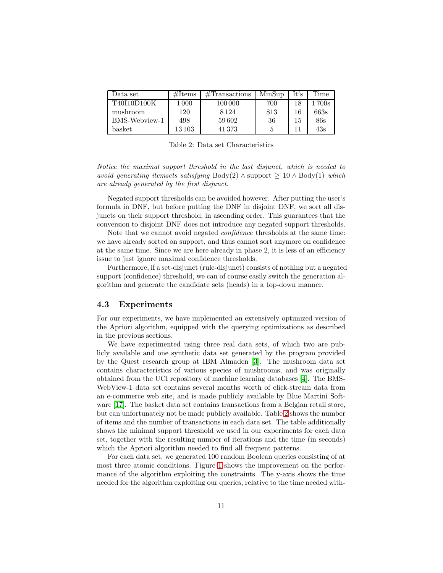| Data set           | $\#\text{Items}$ | #Transactions | MinSup       | It's | Time   |
|--------------------|------------------|---------------|--------------|------|--------|
| T40I10D100K        | 1 0 0 0          | 100000        | 700          | 1 Q  | 1 700s |
| mushroom           | 120              | 8 1 2 4       | 813          |      | 663s   |
| BMS-Webview-1      | 498              | 59602         | 36           | 15   | 86s    |
| $_{\text{basket}}$ | $13\,103$        | 41373         | $\mathbf{G}$ |      | 43s    |

<span id="page-10-0"></span>Table 2: Data set Characteristics

Notice the maximal support threshold in the last disjunct, which is needed to avoid generating itemsets satisfying Body(2)  $\land$  support  $\geq 10 \land$  Body(1) which are already generated by the first disjunct.

Negated support thresholds can be avoided however. After putting the user's formula in DNF, but before putting the DNF in disjoint DNF, we sort all disjuncts on their support threshold, in ascending order. This guarantees that the conversion to disjoint DNF does not introduce any negated support thresholds.

Note that we cannot avoid negated *confidence* thresholds at the same time: we have already sorted on support, and thus cannot sort anymore on confidence at the same time. Since we are here already in phase 2, it is less of an efficiency issue to just ignore maximal confidence thresholds.

Furthermore, if a set-disjunct (rule-disjunct) consists of nothing but a negated support (confidence) threshold, we can of course easily switch the generation algorithm and generate the candidate sets (heads) in a top-down manner.

#### 4.3 Experiments

For our experiments, we have implemented an extensively optimized version of the Apriori algorithm, equipped with the querying optimizations as described in the previous sections.

We have experimented using three real data sets, of which two are publicly available and one synthetic data set generated by the program provided by the Quest research group at IBM Almaden [\[3\]](#page-18-3). The mushroom data set contains characteristics of various species of mushrooms, and was originally obtained from the UCI repository of machine learning databases [\[4\]](#page-18-4). The BMS-WebView-1 data set contains several months worth of click-stream data from an e-commerce web site, and is made publicly available by Blue Martini Software [\[17\]](#page-19-9). The basket data set contains transactions from a Belgian retail store, but can unfortunately not be made publicly available. Table [2](#page-10-0) shows the number of items and the number of transactions in each data set. The table additionally shows the minimal support threshold we used in our experiments for each data set, together with the resulting number of iterations and the time (in seconds) which the Apriori algorithm needed to find all frequent patterns.

For each data set, we generated 100 random Boolean queries consisting of at most three atomic conditions. Figure [1](#page-11-1) shows the improvement on the performance of the algorithm exploiting the constraints. The y-axis shows the time needed for the algorithm exploiting our queries, relative to the time needed with-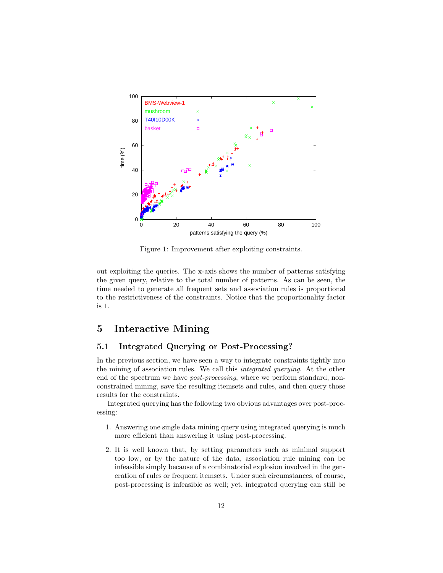

<span id="page-11-1"></span>Figure 1: Improvement after exploiting constraints.

out exploiting the queries. The x-axis shows the number of patterns satisfying the given query, relative to the total number of patterns. As can be seen, the time needed to generate all frequent sets and association rules is proportional to the restrictiveness of the constraints. Notice that the proportionality factor is 1.

# <span id="page-11-0"></span>5 Interactive Mining

#### 5.1 Integrated Querying or Post-Processing?

In the previous section, we have seen a way to integrate constraints tightly into the mining of association rules. We call this integrated querying. At the other end of the spectrum we have *post-processing*, where we perform standard, nonconstrained mining, save the resulting itemsets and rules, and then query those results for the constraints.

Integrated querying has the following two obvious advantages over post-processing:

- 1. Answering one single data mining query using integrated querying is much more efficient than answering it using post-processing.
- 2. It is well known that, by setting parameters such as minimal support too low, or by the nature of the data, association rule mining can be infeasible simply because of a combinatorial explosion involved in the generation of rules or frequent itemsets. Under such circumstances, of course, post-processing is infeasible as well; yet, integrated querying can still be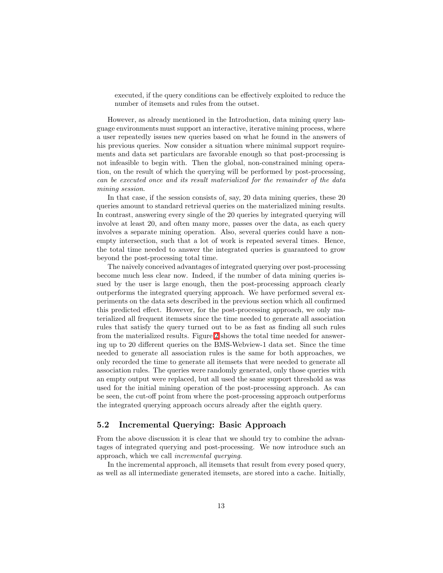executed, if the query conditions can be effectively exploited to reduce the number of itemsets and rules from the outset.

However, as already mentioned in the Introduction, data mining query language environments must support an interactive, iterative mining process, where a user repeatedly issues new queries based on what he found in the answers of his previous queries. Now consider a situation where minimal support requirements and data set particulars are favorable enough so that post-processing is not infeasible to begin with. Then the global, non-constrained mining operation, on the result of which the querying will be performed by post-processing, can be executed once and its result materialized for the remainder of the data mining session.

In that case, if the session consists of, say, 20 data mining queries, these 20 queries amount to standard retrieval queries on the materialized mining results. In contrast, answering every single of the 20 queries by integrated querying will involve at least 20, and often many more, passes over the data, as each query involves a separate mining operation. Also, several queries could have a nonempty intersection, such that a lot of work is repeated several times. Hence, the total time needed to answer the integrated queries is guaranteed to grow beyond the post-processing total time.

The naively conceived advantages of integrated querying over post-processing become much less clear now. Indeed, if the number of data mining queries issued by the user is large enough, then the post-processing approach clearly outperforms the integrated querying approach. We have performed several experiments on the data sets described in the previous section which all confirmed this predicted effect. However, for the post-processing approach, we only materialized all frequent itemsets since the time needed to generate all association rules that satisfy the query turned out to be as fast as finding all such rules from the materialized results. Figure [2](#page-13-0) shows the total time needed for answering up to 20 different queries on the BMS-Webview-1 data set. Since the time needed to generate all association rules is the same for both approaches, we only recorded the time to generate all itemsets that were needed to generate all association rules. The queries were randomly generated, only those queries with an empty output were replaced, but all used the same support threshold as was used for the initial mining operation of the post-processing approach. As can be seen, the cut-off point from where the post-processing approach outperforms the integrated querying approach occurs already after the eighth query.

#### 5.2 Incremental Querying: Basic Approach

From the above discussion it is clear that we should try to combine the advantages of integrated querying and post-processing. We now introduce such an approach, which we call incremental querying.

In the incremental approach, all itemsets that result from every posed query, as well as all intermediate generated itemsets, are stored into a cache. Initially,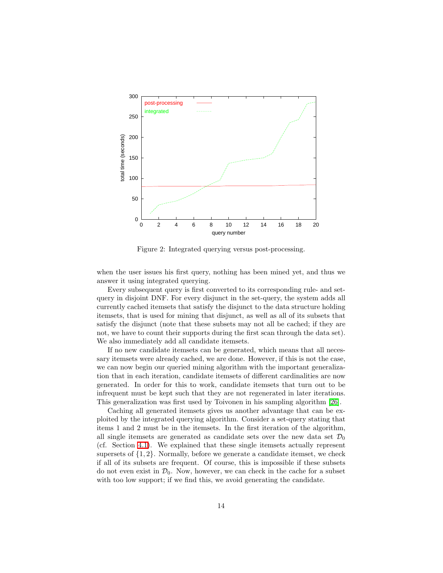

<span id="page-13-0"></span>Figure 2: Integrated querying versus post-processing.

when the user issues his first query, nothing has been mined yet, and thus we answer it using integrated querying.

Every subsequent query is first converted to its corresponding rule- and setquery in disjoint DNF. For every disjunct in the set-query, the system adds all currently cached itemsets that satisfy the disjunct to the data structure holding itemsets, that is used for mining that disjunct, as well as all of its subsets that satisfy the disjunct (note that these subsets may not all be cached; if they are not, we have to count their supports during the first scan through the data set). We also immediately add all candidate itemsets.

If no new candidate itemsets can be generated, which means that all necessary itemsets were already cached, we are done. However, if this is not the case, we can now begin our queried mining algorithm with the important generalization that in each iteration, candidate itemsets of different cardinalities are now generated. In order for this to work, candidate itemsets that turn out to be infrequent must be kept such that they are not regenerated in later iterations. This generalization was first used by Toivonen in his sampling algorithm [\[26\]](#page-20-8).

Caching all generated itemsets gives us another advantage that can be exploited by the integrated querying algorithm. Consider a set-query stating that items 1 and 2 must be in the itemsets. In the first iteration of the algorithm, all single itemsets are generated as candidate sets over the new data set  $\mathcal{D}_0$ (cf. Section [4.1\)](#page-4-2). We explained that these single itemsets actually represent supersets of  $\{1, 2\}$ . Normally, before we generate a candidate itemset, we check if all of its subsets are frequent. Of course, this is impossible if these subsets do not even exist in  $\mathcal{D}_0$ . Now, however, we can check in the cache for a subset with too low support; if we find this, we avoid generating the candidate.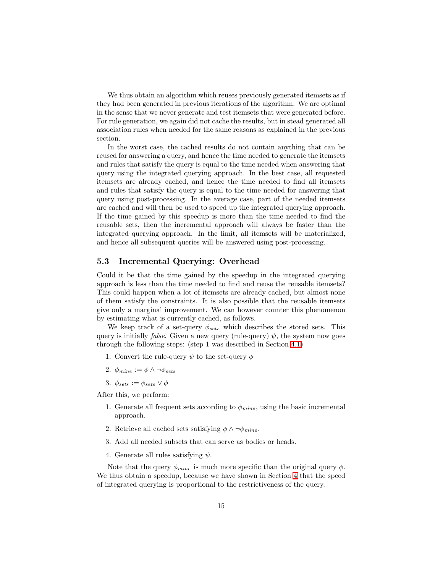We thus obtain an algorithm which reuses previously generated itemsets as if they had been generated in previous iterations of the algorithm. We are optimal in the sense that we never generate and test itemsets that were generated before. For rule generation, we again did not cache the results, but in stead generated all association rules when needed for the same reasons as explained in the previous section.

In the worst case, the cached results do not contain anything that can be reused for answering a query, and hence the time needed to generate the itemsets and rules that satisfy the query is equal to the time needed when answering that query using the integrated querying approach. In the best case, all requested itemsets are already cached, and hence the time needed to find all itemsets and rules that satisfy the query is equal to the time needed for answering that query using post-processing. In the average case, part of the needed itemsets are cached and will then be used to speed up the integrated querying approach. If the time gained by this speedup is more than the time needed to find the reusable sets, then the incremental approach will always be faster than the integrated querying approach. In the limit, all itemsets will be materialized, and hence all subsequent queries will be answered using post-processing.

#### 5.3 Incremental Querying: Overhead

Could it be that the time gained by the speedup in the integrated querying approach is less than the time needed to find and reuse the reusable itemsets? This could happen when a lot of itemsets are already cached, but almost none of them satisfy the constraints. It is also possible that the reusable itemsets give only a marginal improvement. We can however counter this phenomenon by estimating what is currently cached, as follows.

We keep track of a set-query  $\phi_{sets}$  which describes the stored sets. This query is initially *false*. Given a new query (rule-query)  $\psi$ , the system now goes through the following steps: (step 1 was described in Section [4.1\)](#page-4-2)

- 1. Convert the rule-query  $\psi$  to the set-query  $\phi$
- 2.  $\phi_{mine} := \phi \wedge \neg \phi_{sets}$
- 3.  $\phi_{sets} := \phi_{sets} \vee \phi$

After this, we perform:

- 1. Generate all frequent sets according to  $\phi_{mine}$ , using the basic incremental approach.
- 2. Retrieve all cached sets satisfying  $\phi \wedge \neg \phi_{mine}$ .
- 3. Add all needed subsets that can serve as bodies or heads.
- 4. Generate all rules satisfying  $\psi$ .

Note that the query  $\phi_{mine}$  is much more specific than the original query  $\phi$ . We thus obtain a speedup, because we have shown in Section [4](#page-4-0) that the speed of integrated querying is proportional to the restrictiveness of the query.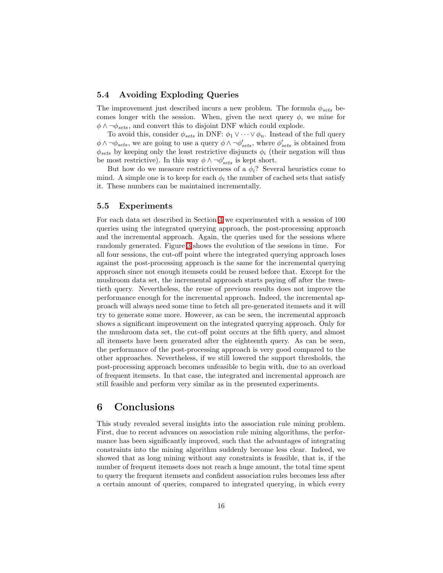#### 5.4 Avoiding Exploding Queries

The improvement just described incurs a new problem. The formula  $\phi_{sets}$  becomes longer with the session. When, given the next query  $\phi$ , we mine for  $\phi \wedge \neg \phi_{sets}$ , and convert this to disjoint DNF which could explode.

To avoid this, consider  $\phi_{sets}$  in DNF:  $\phi_1 \vee \cdots \vee \phi_n$ . Instead of the full query  $\phi \wedge \neg \phi_{sets}$ , we are going to use a query  $\phi \wedge \neg \phi'_{sets}$ , where  $\phi'_{sets}$  is obtained from  $\phi_{sets}$  by keeping only the least restrictive disjuncts  $\phi_i$  (their negation will thus be most restrictive). In this way  $\phi \wedge \neg \phi'_{sets}$  is kept short.

But how do we measure restrictiveness of a  $\phi_i$ ? Several heuristics come to mind. A simple one is to keep for each  $\phi_i$  the number of cached sets that satisfy it. These numbers can be maintained incrementally.

#### 5.5 Experiments

For each data set described in Section [4](#page-4-0) we experimented with a session of 100 queries using the integrated querying approach, the post-processing approach and the incremental approach. Again, the queries used for the sessions where randomly generated. Figure [3](#page-17-0) shows the evolution of the sessions in time. For all four sessions, the cut-off point where the integrated querying approach loses against the post-processing approach is the same for the incremental querying approach since not enough itemsets could be reused before that. Except for the mushroom data set, the incremental approach starts paying off after the twentieth query. Nevertheless, the reuse of previous results does not improve the performance enough for the incremental approach. Indeed, the incremental approach will always need some time to fetch all pre-generated itemsets and it will try to generate some more. However, as can be seen, the incremental approach shows a significant improvement on the integrated querying approach. Only for the mushroom data set, the cut-off point occurs at the fifth query, and almost all itemsets have been generated after the eighteenth query. As can be seen, the performance of the post-processing approach is very good compared to the other approaches. Nevertheless, if we still lowered the support thresholds, the post-processing approach becomes unfeasible to begin with, due to an overload of frequent itemsets. In that case, the integrated and incremental approach are still feasible and perform very similar as in the presented experiments.

### <span id="page-15-0"></span>6 Conclusions

This study revealed several insights into the association rule mining problem. First, due to recent advances on association rule mining algorithms, the performance has been significantly improved, such that the advantages of integrating constraints into the mining algorithm suddenly become less clear. Indeed, we showed that as long mining without any constraints is feasible, that is, if the number of frequent itemsets does not reach a huge amount, the total time spent to query the frequent itemsets and confident association rules becomes less after a certain amount of queries, compared to integrated querying, in which every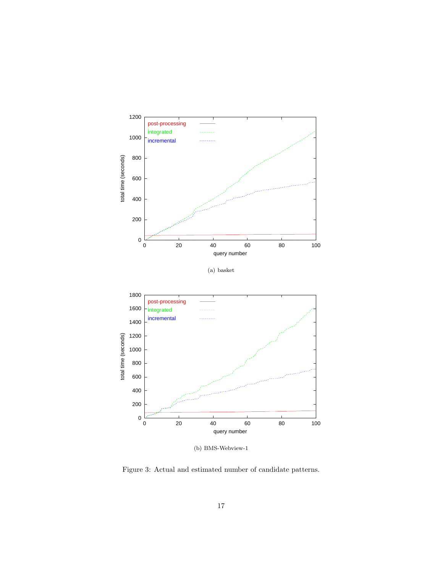

(a) basket



(b) BMS-Webview-1

Figure 3: Actual and estimated number of candidate patterns.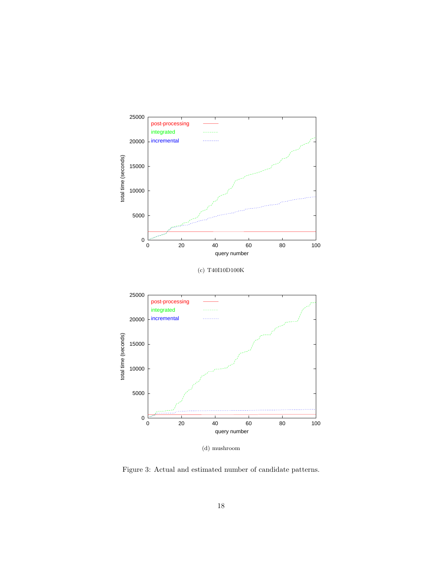

(d) mushroom

<span id="page-17-0"></span>Figure 3: Actual and estimated number of candidate patterns.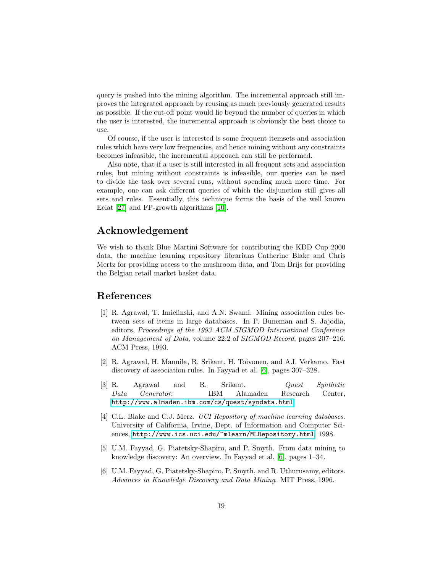query is pushed into the mining algorithm. The incremental approach still improves the integrated approach by reusing as much previously generated results as possible. If the cut-off point would lie beyond the number of queries in which the user is interested, the incremental approach is obviously the best choice to use.

Of course, if the user is interested is some frequent itemsets and association rules which have very low frequencies, and hence mining without any constraints becomes infeasible, the incremental approach can still be performed.

Also note, that if a user is still interested in all frequent sets and association rules, but mining without constraints is infeasible, our queries can be used to divide the task over several runs, without spending much more time. For example, one can ask different queries of which the disjunction still gives all sets and rules. Essentially, this technique forms the basis of the well known Eclat [\[27\]](#page-20-9) and FP-growth algorithms [\[10\]](#page-19-8).

# Acknowledgement

We wish to thank Blue Martini Software for contributing the KDD Cup 2000 data, the machine learning repository librarians Catherine Blake and Chris Mertz for providing access to the mushroom data, and Tom Brijs for providing the Belgian retail market basket data.

# <span id="page-18-1"></span>References

- [1] R. Agrawal, T. Imielinski, and A.N. Swami. Mining association rules between sets of items in large databases. In P. Buneman and S. Jajodia, editors, Proceedings of the 1993 ACM SIGMOD International Conference on Management of Data, volume 22:2 of SIGMOD Record, pages 207–216. ACM Press, 1993.
- <span id="page-18-2"></span>[2] R. Agrawal, H. Mannila, R. Srikant, H. Toivonen, and A.I. Verkamo. Fast discovery of association rules. In Fayyad et al. [\[6\]](#page-18-5), pages 307–328.
- <span id="page-18-3"></span>[3] R. Agrawal and R. Srikant. Quest Synthetic Data Generator. IBM Alamaden Research Center, <http://www.almaden.ibm.com/cs/quest/syndata.html>.
- <span id="page-18-4"></span>[4] C.L. Blake and C.J. Merz. *UCI Repository of machine learning databases*. University of California, Irvine, Dept. of Information and Computer Sciences, <http://www.ics.uci.edu/~mlearn/MLRepository.html>, 1998.
- <span id="page-18-0"></span>[5] U.M. Fayyad, G. Piatetsky-Shapiro, and P. Smyth. From data mining to knowledge discovery: An overview. In Fayyad et al. [\[6\]](#page-18-5), pages 1–34.
- <span id="page-18-5"></span>[6] U.M. Fayyad, G. Piatetsky-Shapiro, P. Smyth, and R. Uthurusamy, editors. Advances in Knowledge Discovery and Data Mining. MIT Press, 1996.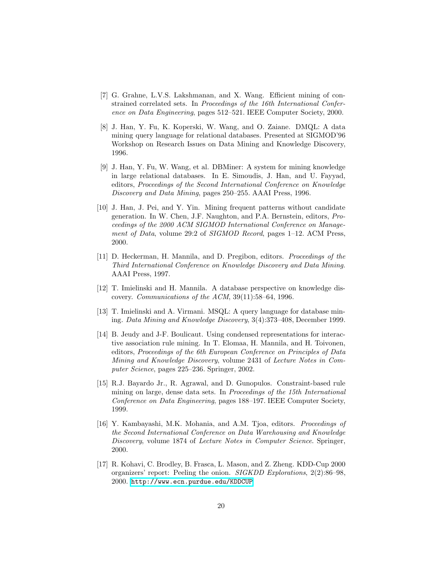- <span id="page-19-5"></span>[7] G. Grahne, L.V.S. Lakshmanan, and X. Wang. Efficient mining of constrained correlated sets. In Proceedings of the 16th International Conference on Data Engineering, pages 512–521. IEEE Computer Society, 2000.
- <span id="page-19-0"></span>[8] J. Han, Y. Fu, K. Koperski, W. Wang, and O. Zaiane. DMQL: A data mining query language for relational databases. Presented at SIGMOD'96 Workshop on Research Issues on Data Mining and Knowledge Discovery, 1996.
- <span id="page-19-1"></span>[9] J. Han, Y. Fu, W. Wang, et al. DBMiner: A system for mining knowledge in large relational databases. In E. Simoudis, J. Han, and U. Fayyad, editors, Proceedings of the Second International Conference on Knowledge Discovery and Data Mining, pages 250–255. AAAI Press, 1996.
- <span id="page-19-8"></span>[10] J. Han, J. Pei, and Y. Yin. Mining frequent patterns without candidate generation. In W. Chen, J.F. Naughton, and P.A. Bernstein, editors, Proceedings of the 2000 ACM SIGMOD International Conference on Management of Data, volume 29:2 of SIGMOD Record, pages 1-12. ACM Press, 2000.
- <span id="page-19-10"></span>[11] D. Heckerman, H. Mannila, and D. Pregibon, editors. Proceedings of the Third International Conference on Knowledge Discovery and Data Mining. AAAI Press, 1997.
- <span id="page-19-2"></span>[12] T. Imielinski and H. Mannila. A database perspective on knowledge discovery. Communications of the ACM, 39(11):58–64, 1996.
- <span id="page-19-3"></span>[13] T. Imielinski and A. Virmani. MSQL: A query language for database mining. Data Mining and Knowledge Discovery, 3(4):373–408, December 1999.
- <span id="page-19-7"></span>[14] B. Jeudy and J-F. Boulicaut. Using condensed representations for interactive association rule mining. In T. Elomaa, H. Mannila, and H. Toivonen, editors, Proceedings of the 6th European Conference on Principles of Data Mining and Knowledge Discovery, volume 2431 of Lecture Notes in Computer Science, pages 225–236. Springer, 2002.
- <span id="page-19-6"></span>[15] R.J. Bayardo Jr., R. Agrawal, and D. Gunopulos. Constraint-based rule mining on large, dense data sets. In Proceedings of the 15th International Conference on Data Engineering, pages 188–197. IEEE Computer Society, 1999.
- <span id="page-19-4"></span>[16] Y. Kambayashi, M.K. Mohania, and A.M. Tjoa, editors. Proceedings of the Second International Conference on Data Warehousing and Knowledge Discovery, volume 1874 of Lecture Notes in Computer Science. Springer, 2000.
- <span id="page-19-9"></span>[17] R. Kohavi, C. Brodley, B. Frasca, L. Mason, and Z. Zheng. KDD-Cup 2000 organizers' report: Peeling the onion. SIGKDD Explorations, 2(2):86–98, 2000. <http://www.ecn.purdue.edu/KDDCUP>.